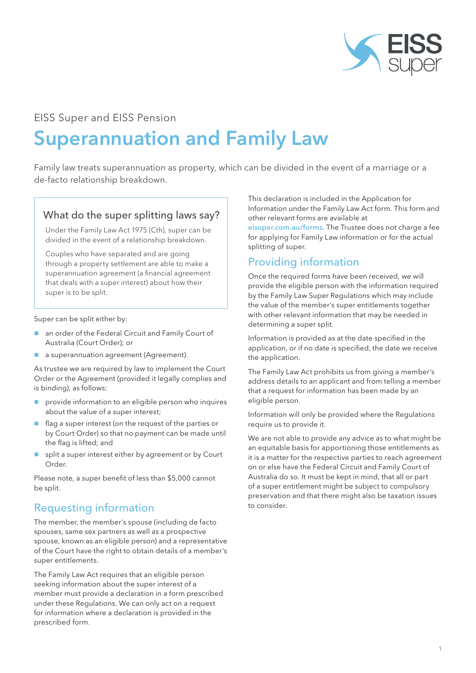

## EISS Super and EISS Pension

# Superannuation and Family Law

Family law treats superannuation as property, which can be divided in the event of a marriage or a de-facto relationship breakdown.

#### What do the super splitting laws say?

Under the Family Law Act 1975 (Cth), super can be divided in the event of a relationship breakdown.

Couples who have separated and are going through a property settlement are able to make a superannuation agreement (a financial agreement that deals with a super interest) about how their super is to be split.

Super can be split either by:

- an order of the Federal Circuit and Family Court of Australia (Court Order); or
- **a** a superannuation agreement (Agreement).

As trustee we are required by law to implement the Court Order or the Agreement (provided it legally complies and is binding), as follows:

- provide information to an eligible person who inquires about the value of a super interest;
- $\blacksquare$  flag a super interest (on the request of the parties or by Court Order) so that no payment can be made until the flag is lifted; and
- split a super interest either by agreement or by Court Order.

Please note, a super benefit of less than \$5,000 cannot be split.

### Requesting information

The member, the member's spouse (including de facto spouses, same sex partners as well as a prospective spouse, known as an eligible person) and a representative of the Court have the right to obtain details of a member's super entitlements.

The Family Law Act requires that an eligible person seeking information about the super interest of a member must provide a declaration in a form prescribed under these Regulations. We can only act on a request for information where a declaration is provided in the prescribed form.

This declaration is included in the Application for Information under the Family Law Act form. This form and other relevant forms are available at

eisuper.com.au/forms. The Trustee does not charge a fee for applying for Family Law information or for the actual splitting of super.

## Providing information

Once the required forms have been received, we will provide the eligible person with the information required by the Family Law Super Regulations which may include the value of the member's super entitlements together with other relevant information that may be needed in determining a super split.

Information is provided as at the date specified in the application, or if no date is specified, the date we receive the application.

The Family Law Act prohibits us from giving a member's address details to an applicant and from telling a member that a request for information has been made by an eligible person.

Information will only be provided where the Regulations require us to provide it.

We are not able to provide any advice as to what might be an equitable basis for apportioning those entitlements as it is a matter for the respective parties to reach agreement on or else have the Federal Circuit and Family Court of Australia do so. It must be kept in mind, that all or part of a super entitlement might be subject to compulsory preservation and that there might also be taxation issues to consider.